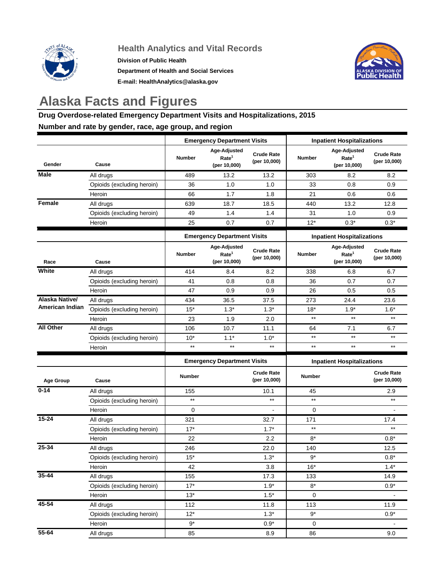

## **Health Analytics and Vital Records**

**Division of Public Health Department of Health and Social Services E-mail: HealthAnalytics@alaska.gov**



## **Alaska Facts and Figures**

## **Drug Overdose-related Emergency Department Visits and Hospitalizations, 2015 Number and rate by gender, race, age group, and region**

## **Gender Cause Number Age-Adjusted Rate1 (per 10,000) Crude Rate (per 10,000) Number Age-Adjusted Rate1 (per 10,000) Crude Rate (per 10,000)** All drugs | 489 13.2 13.2 | 303 8.2 8.2 Opioids (excluding heroin) 36 1.0 1.0 33 0.8 0.9 Heroin 66 1.7 1.8 21 0.6 0.6 All drugs 639 18.7 18.5 440 13.2 12.8 Opioids (excluding heroin) 49 1.4 1.4 31 1.0 0.9 Heroin 25 0.7 0.7 12\* 0.3\* 0.3\* **Race Cause Number Age-Adjusted Rate1 (per 10,000) Crude Rate (per 10,000) Number Age-Adjusted Rate1 (per 10,000) Crude Rate (per 10,000)** All drugs | 414 8.4 8.2 | 338 6.8 6.7 Opioids (excluding heroin) 41 0.8 0.8 36 0.7 0.7 Heroin 47 0.9 0.9 26 0.5 0.5 All drugs 434 36.5 37.5 273 24.4 23.6 Opioids (excluding heroin)  $\begin{array}{|c|c|c|c|c|c|}\n\hline\n1.5^* & 1.3^* & 1.3^* & 1.8^* & 1.6^* & 1.6^* \\
\hline\n\end{array}$ Heroin 1.9 2.0 \*\* \*\* \*\* All drugs | 106 10.7 11.1 | 64 7.1 6.7 Opioids (excluding heroin)  $10^*$  1.1\*  $1.0^*$  \*\* \*\* \*\* \*\* \*\* Heroin \*\* \*\* \*\* \*\* \*\* \*\* **Age Group Cause Number Crude Rate (per 10,000) Number Crude Rate (per 10,000)** All drugs 155 10.1 45 2.9 Opioids (excluding heroin) \*\* \*\* \*\* \*\* Heroin 0 - 0 - All drugs | 321 32.7 | 171 17.4 Opioids (excluding heroin) 17\* 1.7\* \*\* \*\* Heroin | 22 2.2 | 8\* 0.8\* All drugs 246 22.0 140 12.5 Opioids (excluding heroin)  $1.3*$  1.3\* 9\* 0.8\* 0.8\* Heroin | 42 3.8 | 16\* 1.4\* All drugs | 155 17.3 | 133 14.9 Opioids (excluding heroin) 17\* 1.9\* 1.9\* 8\* 0.9\* 0.9\* Heroin 13\* 1.5\* 0 - All drugs | 112 11.8 | 113 11.9 Opioids (excluding heroin)  $12^*$  12\* 1.3\* 9\* 9\* 0.9\* 0.9\* Heroin the set of  $9^*$  for  $0.9^*$  for  $0.9^*$  for  $0.9^*$  for  $0.9^*$  for  $0.9^*$  for  $0.9^*$  for  $0.9^*$  for  $0.9^*$  for  $0.9^*$  for  $0.9^*$  for  $0.9^*$  for  $0.9^*$  for  $0.9^*$  for  $0.9^*$  for  $0.9^*$  for  $0.9^*$  for All drugs 85 8.9 86 9.0 **Emergency Department Visits Inpatient Hospitalizations Emergency Department Visits | Inpatient Hospitalizations Emergency Department Visits Inpatient Hospitalizations 35-44 45-54 55-64 25-34 All Other Alaska Native/ American Indian Male Female White 0-14 15-24**